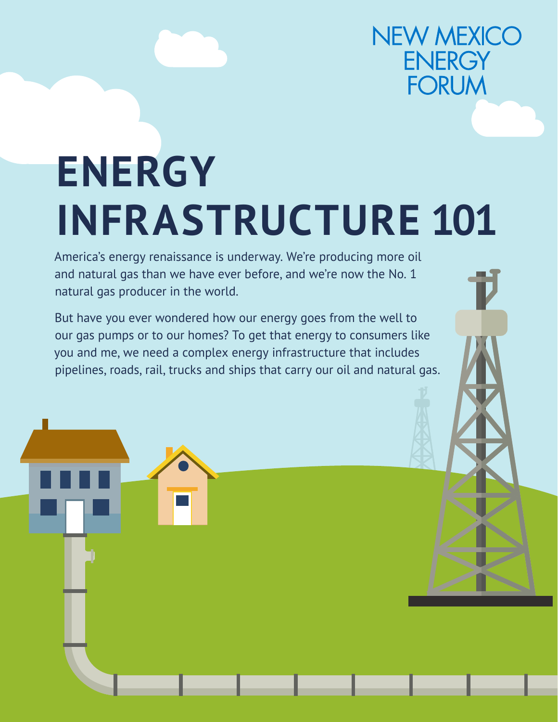## **NEW MEXICO ENERGY FORUM**

# **ENERGY INFRASTRUCTURE 101**

America's energy renaissance is underway. We're producing more oil and natural gas than we have ever before, and we're now the No. 1 natural gas producer in the world.

But have you ever wondered how our energy goes from the well to our gas pumps or to our homes? To get that energy to consumers like you and me, we need a complex energy infrastructure that includes pipelines, roads, rail, trucks and ships that carry our oil and natural gas.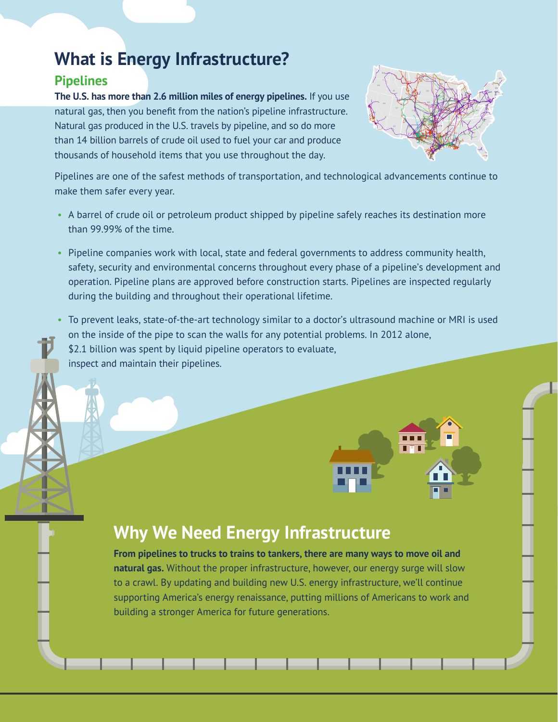## **What is Energy Infrastructure?**

#### **Pipelines**

**The U.S. has more than 2.6 million miles of energy pipelines.** If you use natural gas, then you benefit from the nation's pipeline infrastructure. Natural gas produced in the U.S. travels by pipeline, and so do more than 14 billion barrels of crude oil used to fuel your car and produce thousands of household items that you use throughout the day.



Pipelines are one of the safest methods of transportation, and technological advancements continue to make them safer every year.

- A barrel of crude oil or petroleum product shipped by pipeline safely reaches its destination more than 99.99% of the time.
- Pipeline companies work with local, state and federal governments to address community health, safety, security and environmental concerns throughout every phase of a pipeline's development and operation. Pipeline plans are approved before construction starts. Pipelines are inspected regularly during the building and throughout their operational lifetime.
- To prevent leaks, state-of-the-art technology similar to a doctor's ultrasound machine or MRI is used on the inside of the pipe to scan the walls for any potential problems. In 2012 alone, \$2.1 billion was spent by liquid pipeline operators to evaluate, inspect and maintain their pipelines.

### **Why We Need Energy Infrastructure**

**From pipelines to trucks to trains to tankers, there are many ways to move oil and natural gas.** Without the proper infrastructure, however, our energy surge will slow to a crawl. By updating and building new U.S. energy infrastructure, we'll continue supporting America's energy renaissance, putting millions of Americans to work and building a stronger America for future generations.

\_\_\_\_\_\_\_\_